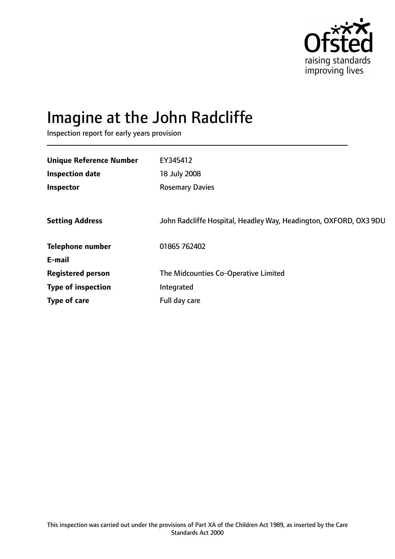

# Imagine at the John Radcliffe

Inspection report for early years provision

| <b>Unique Reference Number</b> | EY345412                                                          |
|--------------------------------|-------------------------------------------------------------------|
| <b>Inspection date</b>         | 18 July 2008                                                      |
| Inspector                      | <b>Rosemary Davies</b>                                            |
|                                |                                                                   |
| <b>Setting Address</b>         | John Radcliffe Hospital, Headley Way, Headington, OXFORD, OX3 9DU |
| <b>Telephone number</b>        | 01865 762402                                                      |
| E-mail                         |                                                                   |
| <b>Registered person</b>       | The Midcounties Co-Operative Limited                              |
| <b>Type of inspection</b>      | Integrated                                                        |
| Type of care                   | Full day care                                                     |
|                                |                                                                   |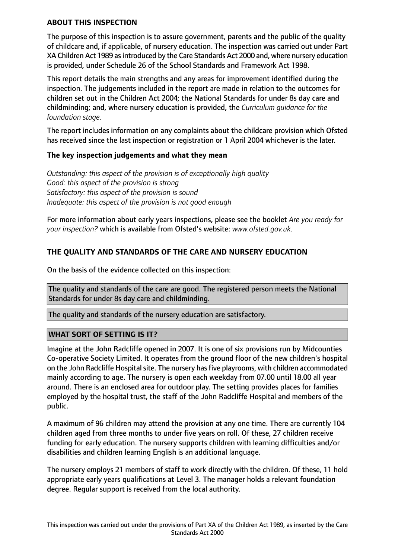#### **ABOUT THIS INSPECTION**

The purpose of this inspection is to assure government, parents and the public of the quality of childcare and, if applicable, of nursery education. The inspection was carried out under Part XA Children Act 1989 as introduced by the Care Standards Act 2000 and, where nursery education is provided, under Schedule 26 of the School Standards and Framework Act 1998.

This report details the main strengths and any areas for improvement identified during the inspection. The judgements included in the report are made in relation to the outcomes for children set out in the Children Act 2004; the National Standards for under 8s day care and childminding; and, where nursery education is provided, the *Curriculum guidance for the foundation stage.*

The report includes information on any complaints about the childcare provision which Ofsted has received since the last inspection or registration or 1 April 2004 whichever is the later.

#### **The key inspection judgements and what they mean**

*Outstanding: this aspect of the provision is of exceptionally high quality Good: this aspect of the provision is strong Satisfactory: this aspect of the provision is sound Inadequate: this aspect of the provision is not good enough*

For more information about early years inspections, please see the booklet *Are you ready for your inspection?* which is available from Ofsted's website: *www.ofsted.gov.uk.*

## **THE QUALITY AND STANDARDS OF THE CARE AND NURSERY EDUCATION**

On the basis of the evidence collected on this inspection:

The quality and standards of the care are good. The registered person meets the National Standards for under 8s day care and childminding.

The quality and standards of the nursery education are satisfactory.

## **WHAT SORT OF SETTING IS IT?**

Imagine at the John Radcliffe opened in 2007. It is one of six provisions run by Midcounties Co-operative Society Limited. It operates from the ground floor of the new children's hospital on the John Radcliffe Hospital site. The nursery has five playrooms, with children accommodated mainly according to age. The nursery is open each weekday from 07.00 until 18.00 all year around. There is an enclosed area for outdoor play. The setting provides places for families employed by the hospital trust, the staff of the John Radcliffe Hospital and members of the public.

A maximum of 96 children may attend the provision at any one time. There are currently 104 children aged from three months to under five years on roll. Of these, 27 children receive funding for early education. The nursery supports children with learning difficulties and/or disabilities and children learning English is an additional language.

The nursery employs 21 members of staff to work directly with the children. Of these, 11 hold appropriate early years qualifications at Level 3. The manager holds a relevant foundation degree. Regular support is received from the local authority.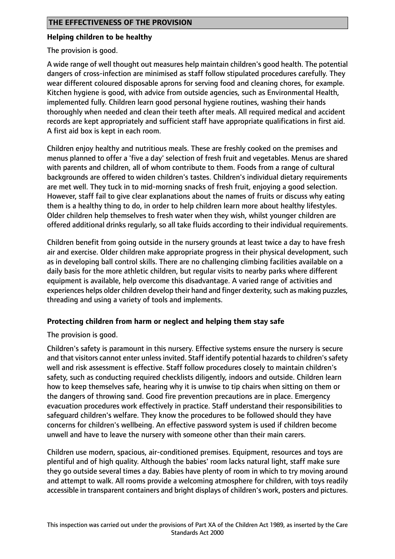## **Helping children to be healthy**

The provision is good.

A wide range of well thought out measures help maintain children's good health. The potential dangers of cross-infection are minimised as staff follow stipulated procedures carefully. They wear different coloured disposable aprons for serving food and cleaning chores, for example. Kitchen hygiene is good, with advice from outside agencies, such as Environmental Health, implemented fully. Children learn good personal hygiene routines, washing their hands thoroughly when needed and clean their teeth after meals. All required medical and accident records are kept appropriately and sufficient staff have appropriate qualifications in first aid. A first aid box is kept in each room.

Children enjoy healthy and nutritious meals. These are freshly cooked on the premises and menus planned to offer a 'five a day' selection of fresh fruit and vegetables. Menus are shared with parents and children, all of whom contribute to them. Foods from a range of cultural backgrounds are offered to widen children's tastes. Children's individual dietary requirements are met well. They tuck in to mid-morning snacks of fresh fruit, enjoying a good selection. However, staff fail to give clear explanations about the names of fruits or discuss why eating them is a healthy thing to do, in order to help children learn more about healthy lifestyles. Older children help themselves to fresh water when they wish, whilst younger children are offered additional drinks regularly, so all take fluids according to their individual requirements.

Children benefit from going outside in the nursery grounds at least twice a day to have fresh air and exercise. Older children make appropriate progress in their physical development, such as in developing ball control skills. There are no challenging climbing facilities available on a daily basis for the more athletic children, but regular visits to nearby parks where different equipment is available, help overcome this disadvantage. A varied range of activities and experiences helps older children develop their hand and finger dexterity, such as making puzzles, threading and using a variety of tools and implements.

## **Protecting children from harm or neglect and helping them stay safe**

The provision is good.

Children's safety is paramount in this nursery. Effective systems ensure the nursery is secure and that visitors cannot enter unless invited. Staff identify potential hazards to children's safety well and risk assessment is effective. Staff follow procedures closely to maintain children's safety, such as conducting required checklists diligently, indoors and outside. Children learn how to keep themselves safe, hearing why it is unwise to tip chairs when sitting on them or the dangers of throwing sand. Good fire prevention precautions are in place. Emergency evacuation procedures work effectively in practice. Staff understand their responsibilities to safeguard children's welfare. They know the procedures to be followed should they have concerns for children's wellbeing. An effective password system is used if children become unwell and have to leave the nursery with someone other than their main carers.

Children use modern, spacious, air-conditioned premises. Equipment, resources and toys are plentiful and of high quality. Although the babies' room lacks natural light, staff make sure they go outside several times a day. Babies have plenty of room in which to try moving around and attempt to walk. All rooms provide a welcoming atmosphere for children, with toys readily accessible in transparent containers and bright displays of children's work, posters and pictures.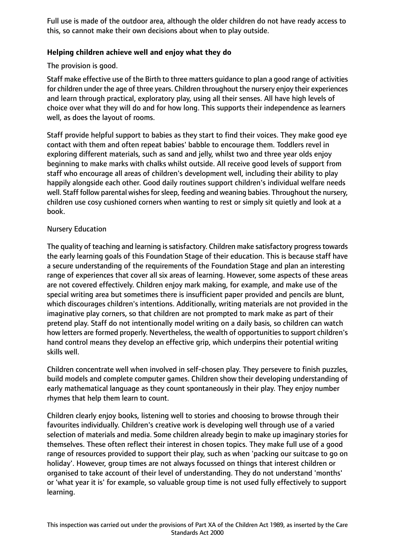Full use is made of the outdoor area, although the older children do not have ready access to this, so cannot make their own decisions about when to play outside.

## **Helping children achieve well and enjoy what they do**

The provision is good.

Staff make effective use of the Birth to three matters guidance to plan a good range of activities for children under the age of three years. Children throughout the nursery enjoy their experiences and learn through practical, exploratory play, using all their senses. All have high levels of choice over what they will do and for how long. This supports their independence as learners well, as does the layout of rooms.

Staff provide helpful support to babies as they start to find their voices. They make good eye contact with them and often repeat babies' babble to encourage them. Toddlers revel in exploring different materials, such as sand and jelly, whilst two and three year olds enjoy beginning to make marks with chalks whilst outside. All receive good levels of support from staff who encourage all areas of children's development well, including their ability to play happily alongside each other. Good daily routines support children's individual welfare needs well. Staff follow parental wishes for sleep, feeding and weaning babies. Throughout the nursery, children use cosy cushioned corners when wanting to rest or simply sit quietly and look at a book.

## Nursery Education

The quality of teaching and learning is satisfactory. Children make satisfactory progress towards the early learning goals of this Foundation Stage of their education. This is because staff have a secure understanding of the requirements of the Foundation Stage and plan an interesting range of experiences that cover all six areas of learning. However, some aspects of these areas are not covered effectively. Children enjoy mark making, for example, and make use of the special writing area but sometimes there is insufficient paper provided and pencils are blunt, which discourages children's intentions. Additionally, writing materials are not provided in the imaginative play corners, so that children are not prompted to mark make as part of their pretend play. Staff do not intentionally model writing on a daily basis, so children can watch how letters are formed properly. Nevertheless, the wealth of opportunities to support children's hand control means they develop an effective grip, which underpins their potential writing skills well.

Children concentrate well when involved in self-chosen play. They persevere to finish puzzles, build models and complete computer games. Children show their developing understanding of early mathematical language as they count spontaneously in their play. They enjoy number rhymes that help them learn to count.

Children clearly enjoy books, listening well to stories and choosing to browse through their favourites individually. Children's creative work is developing well through use of a varied selection of materials and media. Some children already begin to make up imaginary stories for themselves. These often reflect their interest in chosen topics. They make full use of a good range of resources provided to support their play, such as when 'packing our suitcase to go on holiday'. However, group times are not always focussed on things that interest children or organised to take account of their level of understanding. They do not understand 'months' or 'what year it is' for example, so valuable group time is not used fully effectively to support learning.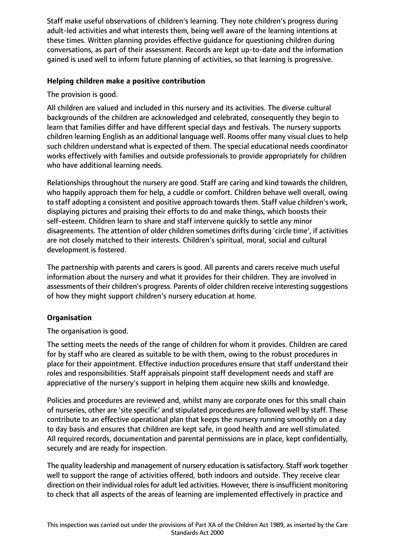Staff make useful observations of children's learning. They note children's progress during adult-led activities and what interests them, being well aware of the learning intentions at these times. Written planning provides effective guidance for questioning children during conversations, as part of their assessment. Records are kept up-to-date and the information gained is used well to inform future planning of activities, so that learning is progressive.

## **Helping children make a positive contribution**

The provision is good.

All children are valued and included in this nursery and its activities. The diverse cultural backgrounds of the children are acknowledged and celebrated, consequently they begin to learn that families differ and have different special days and festivals. The nursery supports children learning English as an additional language well. Rooms offer many visual clues to help such children understand what is expected of them. The special educational needs coordinator works effectively with families and outside professionals to provide appropriately for children who have additional learning needs.

Relationships throughout the nursery are good. Staff are caring and kind towards the children, who happily approach them for help, a cuddle or comfort. Children behave well overall, owing to staff adopting a consistent and positive approach towards them. Staff value children's work, displaying pictures and praising their efforts to do and make things, which boosts their self-esteem. Children learn to share and staff intervene quickly to settle any minor disagreements. The attention of older children sometimes drifts during 'circle time', if activities are not closely matched to their interests. Children's spiritual, moral, social and cultural development is fostered.

The partnership with parents and carers is good. All parents and carers receive much useful information about the nursery and what it provides for their children. They are involved in assessments of their children's progress. Parents of older children receive interesting suggestions of how they might support children's nursery education at home.

## **Organisation**

The organisation is good.

The setting meets the needs of the range of children for whom it provides. Children are cared for by staff who are cleared as suitable to be with them, owing to the robust procedures in place for their appointment. Effective induction procedures ensure that staff understand their roles and responsibilities. Staff appraisals pinpoint staff development needs and staff are appreciative of the nursery's support in helping them acquire new skills and knowledge.

Policies and procedures are reviewed and, whilst many are corporate ones for this small chain of nurseries, other are 'site specific' and stipulated procedures are followed well by staff. These contribute to an effective operational plan that keeps the nursery running smoothly on a day to day basis and ensures that children are kept safe, in good health and are well stimulated. All required records, documentation and parental permissions are in place, kept confidentially, securely and are ready for inspection.

The quality leadership and management of nursery education issatisfactory. Staff work together well to support the range of activities offered, both indoors and outside. They receive clear direction on their individual roles for adult led activities. However, there is insufficient monitoring to check that all aspects of the areas of learning are implemented effectively in practice and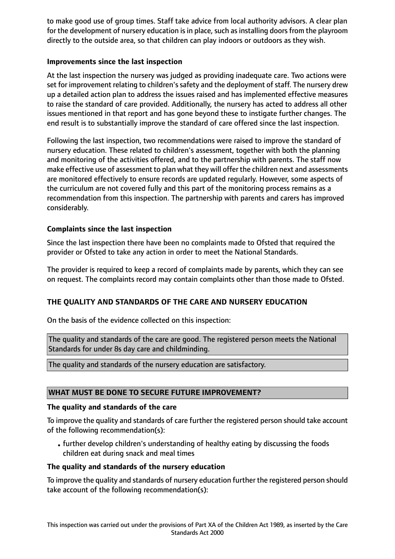to make good use of group times. Staff take advice from local authority advisors. A clear plan for the development of nursery education is in place, such as installing doors from the playroom directly to the outside area, so that children can play indoors or outdoors as they wish.

## **Improvements since the last inspection**

At the last inspection the nursery was judged as providing inadequate care. Two actions were set for improvement relating to children's safety and the deployment of staff. The nursery drew up a detailed action plan to address the issues raised and has implemented effective measures to raise the standard of care provided. Additionally, the nursery has acted to address all other issues mentioned in that report and has gone beyond these to instigate further changes. The end result is to substantially improve the standard of care offered since the last inspection.

Following the last inspection, two recommendations were raised to improve the standard of nursery education. These related to children's assessment, together with both the planning and monitoring of the activities offered, and to the partnership with parents. The staff now make effective use of assessment to plan what they will offer the children next and assessments are monitored effectively to ensure records are updated regularly. However, some aspects of the curriculum are not covered fully and this part of the monitoring process remains as a recommendation from this inspection. The partnership with parents and carers has improved considerably.

## **Complaints since the last inspection**

Since the last inspection there have been no complaints made to Ofsted that required the provider or Ofsted to take any action in order to meet the National Standards.

The provider is required to keep a record of complaints made by parents, which they can see on request. The complaints record may contain complaints other than those made to Ofsted.

## **THE QUALITY AND STANDARDS OF THE CARE AND NURSERY EDUCATION**

On the basis of the evidence collected on this inspection:

The quality and standards of the care are good. The registered person meets the National Standards for under 8s day care and childminding.

The quality and standards of the nursery education are satisfactory.

## **WHAT MUST BE DONE TO SECURE FUTURE IMPROVEMENT?**

## **The quality and standards of the care**

To improve the quality and standards of care further the registered person should take account of the following recommendation(s):

•further develop children's understanding of healthy eating by discussing the foods children eat during snack and meal times

## **The quality and standards of the nursery education**

To improve the quality and standards of nursery education further the registered person should take account of the following recommendation(s):